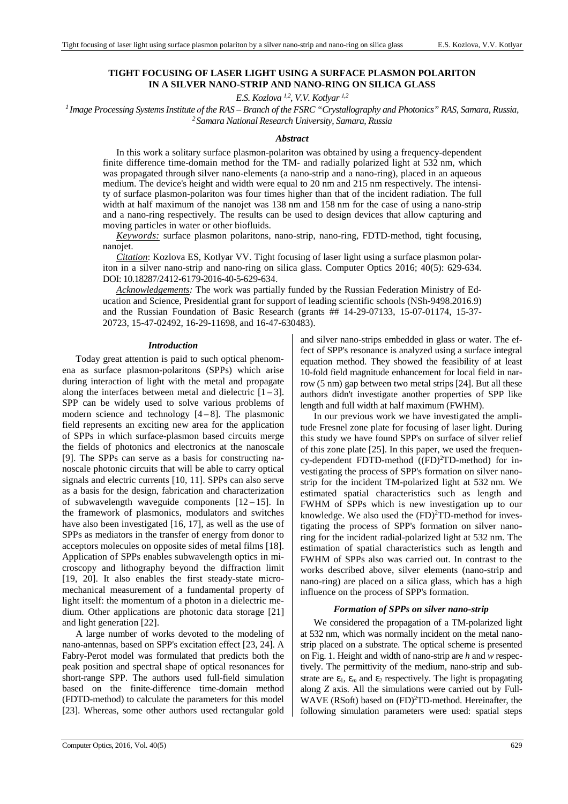# **TIGHT FOCUSING OF LASER LIGHT USING A SURFACE PLASMON POLARITON IN A SILVER NANO-STRIP AND NANO-RING ON SILICA GLASS**

*E.S. Kozlova 1,2, V.V. Kotlyar 1,2*

*<sup>1</sup>Image Processing Systems Institute оf the RAS – Branch of the FSRC "Crystallography and Photonics" RAS, Samara, Russia, <sup>2</sup>Samara National Research University, Samara, Russia*

## *Abstract*

In this work a solitary surface plasmon-polariton was obtained by using a frequency-dependent finite difference time-domain method for the TM- and radially polarized light at 532 nm, which was propagated through silver nano-elements (a nano-strip and a nano-ring), placed in an aqueous medium. The device's height and width were equal to 20 nm and 215 nm respectively. The intensity of surface plasmon-polariton was four times higher than that of the incident radiation. The full width at half maximum of the nanojet was 138 nm and 158 nm for the case of using a nano-strip and a nano-ring respectively. The results can be used to design devices that allow capturing and moving particles in water or other biofluids.

*Keywords:* surface plasmon polaritons, nano-strip, nano-ring, FDTD-method, tight focusing, nanojet.

*Citation*: Kozlova ES, Kotlyar VV. Tight focusing of laser light using a surface plasmon polariton in a silver nano-strip and nano-ring on silica glass. Computer Optics 2016; 40(5): 629-634. DOI: 10.18287/2412-6179-2016-40-5-629-634.

*Acknowledgements:* The work was partially funded by the Russian Federation Ministry of Education and Science, Presidential grant for support of leading scientific schools (NSh-9498.2016.9) and the Russian Foundation of Basic Research (grants ## 14-29-07133, 15-07-01174, 15-37- 20723, 15-47-02492, 16-29-11698, and 16-47-630483).

#### *Introduction*

Today great attention is paid to such optical phenomena as surface plasmon-polaritons (SPPs) which arise during interaction of light with the metal and propagate along the interfaces between metal and dielectric  $[1-3]$ . SPP can be widely used to solve various problems of modern science and technology  $[4-8]$ . The plasmonic field represents an exciting new area for the application of SPPs in which surface-plasmon based circuits merge the fields of photonics and electronics at the nanoscale [9]. The SPPs can serve as a basis for constructing nanoscale photonic circuits that will be able to carry optical signals and electric currents [10, 11]. SPPs can also serve as a basis for the design, fabrication and characterization of subwavelength waveguide components  $[12-15]$ . In the framework of plasmonics, modulators and switches have also been investigated [16, 17], as well as the use of SPPs as mediators in the transfer of energy from donor to acceptors molecules on opposite sides of metal films [18]. Application of SPPs enables subwavelength optics in microscopy and lithography beyond the diffraction limit [19, 20]. It also enables the first steady-state micromechanical measurement of a fundamental property of light itself: the momentum of a photon in a dielectric medium. Other applications are photonic data storage [21] and light generation [22].

A large number of works devoted to the modeling of nano-antennas, based on SPP's excitation effect [23, 24]. A Fabry-Perot model was formulated that predicts both the peak position and spectral shape of optical resonances for short-range SPP. The authors used full-field simulation based on the finite-difference time-domain method (FDTD-method) to calculate the parameters for this model [23]. Whereas, some other authors used rectangular gold and silver nano-strips embedded in glass or water. The effect of SPP's resonance is analyzed using a surface integral equation method. They showed the feasibility of at least 10-fold field magnitude enhancement for local field in narrow (5 nm) gap between two metal strips [24]. But all these authors didn't investigate another properties of SPP like length and full width at half maximum (FWHM).

In our previous work we have investigated the amplitude Fresnel zone plate for focusing of laser light. During this study we have found SPP's on surface of silver relief of this zone plate [25]. In this paper, we used the frequency-dependent FDTD-method  $((FD)^2TD$ -method) for investigating the process of SPP's formation on silver nanostrip for the incident TM-polarized light at 532 nm. We estimated spatial characteristics such as length and FWHM of SPPs which is new investigation up to our knowledge. We also used the (FD)<sup>2</sup>TD-method for investigating the process of SPP's formation on silver nanoring for the incident radial-polarized light at 532 nm. The estimation of spatial characteristics such as length and FWHM of SPPs also was carried out. In contrast to the works described above, silver elements (nano-strip and nano-ring) are placed on a silica glass, which has a high influence on the process of SPP's formation.

## *Formation of SPPs on silver nano-strip*

We considered the propagation of a TM-polarized light at 532 nm, which was normally incident on the metal nanostrip placed on a substrate. The optical scheme is presented on Fig. 1. Height and width of nano-strip are *h* and *w* respectively. The permittivity of the medium, nano-strip and substrate are  $\varepsilon_1$ ,  $\varepsilon_m$  and  $\varepsilon_2$  respectively. The light is propagating along *Z* axis. All the simulations were carried out by Full-WAVE (RSoft) based on (FD)<sup>2</sup>TD-method. Hereinafter, the following simulation parameters were used: spatial steps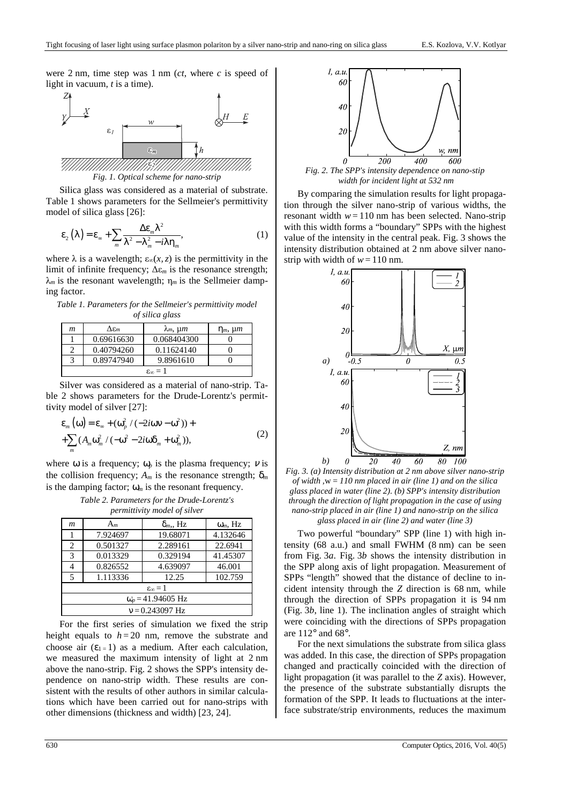were 2 nm, time step was 1 nm (*ct*, where *c* is speed of light in vacuum, *t* is a time).



Silica glass was considered as a material of substrate. Table 1 shows parameters for the Sellmeier's permittivity model of silica glass [26]:

$$
\varepsilon_{2}\left(\lambda\right) = \varepsilon_{\infty} + \sum_{m} \frac{\Delta \varepsilon_{m} \lambda^{2}}{\lambda^{2} - \lambda_{m}^{2} - i\lambda \eta_{m}},
$$
\n(1)

where  $\lambda$  is a wavelength;  $\varepsilon_{\infty}(x, z)$  is the permittivity in the limit of infinite frequency; ∆ε*m* is the resonance strength;  $\lambda_m$  is the resonant wavelength;  $\eta_m$  is the Sellmeier damping factor.

*Table 1. Parameters for the Sellmeier's permittivity model of silica glass* 

| m                        | $\Delta \varepsilon_m$ | $\lambda_m$ , $\mu$ m | $\eta_m$ , $\mu$ m |  |  |
|--------------------------|------------------------|-----------------------|--------------------|--|--|
|                          | 0.69616630             | 0.068404300           |                    |  |  |
|                          | 0.40794260             | 0.11624140            |                    |  |  |
| 3                        | 0.89747940             | 9.8961610             |                    |  |  |
| $\varepsilon_{\infty}=1$ |                        |                       |                    |  |  |

Silver was considered as a material of nano-strip. Table 2 shows parameters for the Drude-Lorentz's permittivity model of silver [27]:

$$
\varepsilon_m(\omega) = \varepsilon_\infty + (\omega_p^2 / (-2i\omega v - \omega^2)) +
$$
  
+ 
$$
\sum_m (A_m \omega_m^2 / (-\omega^2 - 2i\omega \delta_m + \omega_m^2)),
$$
 (2)

where  $\omega$  is a frequency;  $\omega_p$  is the plasma frequency;  $\nu$  is the collision frequency;  $A_m$  is the resonance strength;  $\delta_m$ is the damping factor;  $\omega_m$  is the resonant frequency.

| Table 2. Parameters for the Drude-Lorentz's |
|---------------------------------------------|
| <i>permittivity model of silver</i>         |

| $\boldsymbol{m}$         | $A_m$    | $\delta_m$ , Hz | $\omega_m$ , Hz |  |  |
|--------------------------|----------|-----------------|-----------------|--|--|
|                          | 7.924697 | 19.68071        | 4.132646        |  |  |
| 2                        | 0.501327 | 2.289161        | 22.6941         |  |  |
| 3                        | 0.013329 | 0.329194        | 41.45307        |  |  |
| 4                        | 0.826552 | 4.639097        | 46.001          |  |  |
| 5                        | 1.113336 | 12.25           | 102.759         |  |  |
| $\varepsilon_{\infty}=1$ |          |                 |                 |  |  |
| $\omega_p = 41.94605$ Hz |          |                 |                 |  |  |
| $v = 0.243097$ Hz        |          |                 |                 |  |  |

For the first series of simulation we fixed the strip height equals to  $h = 20$  nm, remove the substrate and choose air  $(\epsilon_{1} = 1)$  as a medium. After each calculation, we measured the maximum intensity of light at 2 nm above the nano-strip. Fig. 2 shows the SPP's intensity dependence on nano-strip width. These results are consistent with the results of other authors in similar calculations which have been carried out for nano-strips with other dimensions (thickness and width) [23, 24].



 *width for incident light at 532 nm* 

By comparing the simulation results for light propagation through the silver nano-strip of various widths, the resonant width  $w = 110$  nm has been selected. Nano-strip with this width forms a "boundary" SPPs with the highest value of the intensity in the central peak. Fig. 3 shows the intensity distribution obtained at 2 nm above silver nanostrip with width of  $w = 110$  nm.



*Fig. 3. (a) Intensity distribution at 2 nm above silver nano-strip of width ,*w *= 110 nm placed in air (line 1) and on the silica glass placed in water (line 2). (b) SPP's intensity distribution through the direction of light propagation in the case of using nano-strip placed in air (line 1) and nano-strip on the silica glass placed in air (line 2) and water (line 3)* 

Two powerful "boundary" SPP (line 1) with high intensity (68 a.u.) and small FWHM (8 nm) can be seen from Fig. 3*a*. Fig. 3*b* shows the intensity distribution in the SPP along axis of light propagation. Measurement of SPPs "length" showed that the distance of decline to incident intensity through the *Z* direction is 68 nm, while through the direction of SPPs propagation it is 94 nm (Fig. 3*b*, line 1). The inclination angles of straight which were coinciding with the directions of SPPs propagation are  $112^{\circ}$  and  $68^{\circ}$ .

For the next simulations the substrate from silica glass was added. In this case, the direction of SPPs propagation changed and practically coincided with the direction of light propagation (it was parallel to the *Z* axis). However, the presence of the substrate substantially disrupts the formation of the SPP. It leads to fluctuations at the interface substrate/strip environments, reduces the maximum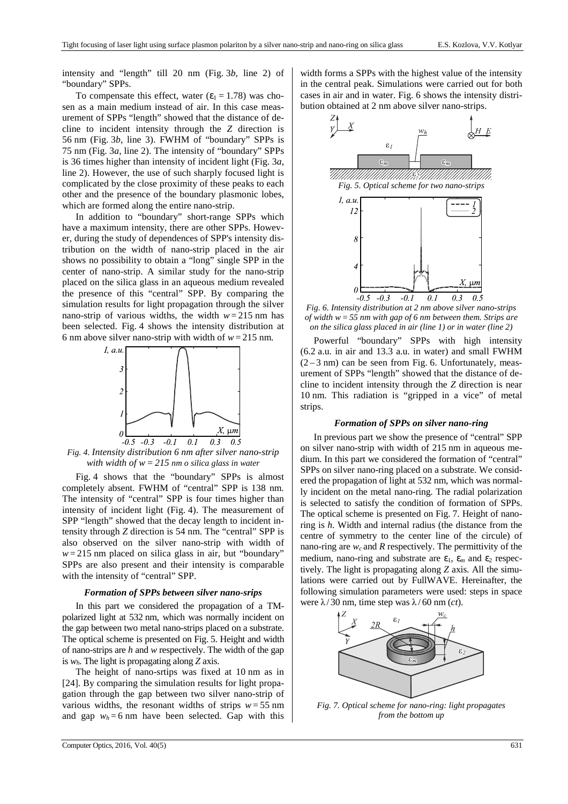intensity and "length" till 20 nm (Fig. 3*b*, line 2) of "boundary" SPPs.

To compensate this effect, water  $(\epsilon_1 = 1.78)$  was chosen as a main medium instead of air. In this case measurement of SPPs "length" showed that the distance of decline to incident intensity through the *Z* direction is 56 nm (Fig. 3*b*, line 3). FWHM of "boundary" SPPs is 75 nm (Fig. 3*a*, line 2). The intensity of "boundary" SPPs is 36 times higher than intensity of incident light (Fig. 3*a*, line 2). However, the use of such sharply focused light is complicated by the close proximity of these peaks to each other and the presence of the boundary plasmonic lobes, which are formed along the entire nano-strip.

In addition to "boundary" short-range SPPs which have a maximum intensity, there are other SPPs. However, during the study of dependences of SPP's intensity distribution on the width of nano-strip placed in the air shows no possibility to obtain a "long" single SPP in the center of nano-strip. A similar study for the nano-strip placed on the silica glass in an aqueous medium revealed the presence of this "central" SPP. By comparing the simulation results for light propagation through the silver nano-strip of various widths, the width  $w = 215$  nm has been selected. Fig. 4 shows the intensity distribution at 6 nm above silver nano-strip with width of  $w = 215$  nm.



*Fig. 4. Intensity distribution 6 nm after silver nano-strip with width of w= 215 nm o silica glass in water* 

Fig. 4 shows that the "boundary" SPPs is almost completely absent. FWHM of "central" SPP is 138 nm. The intensity of "central" SPP is four times higher than intensity of incident light (Fig. 4). The measurement of SPP "length" showed that the decay length to incident intensity through *Z* direction is 54 nm. The "central" SPP is also observed on the silver nano-strip with width of  $w = 215$  nm placed on silica glass in air, but "boundary" SPPs are also present and their intensity is comparable with the intensity of "central" SPP.

#### *Formation of SPPs between silver nano-srips*

In this part we considered the propagation of a TMpolarized light at 532 nm, which was normally incident on the gap between two metal nano-strips placed on a substrate. The optical scheme is presented on Fig. 5. Height and width of nano-strips are *h* and *w* respectively. The width of the gap is *wh*. The light is propagating along *Z* axis.

The height of nano-srtips was fixed at 10 nm as in [24]. By comparing the simulation results for light propagation through the gap between two silver nano-strip of various widths, the resonant widths of strips  $w = 55$  nm and gap  $w_h = 6$  nm have been selected. Gap with this width forms a SPPs with the highest value of the intensity in the central peak. Simulations were carried out for both cases in air and in water. Fig. 6 shows the intensity distribution obtained at 2 nm above silver nano-strips.



*Fig. 6. Intensity distribution at 2 nm above silver nano-strips of width w=55 nm with gap of 6 nm between them. Strips are on the silica glass placed in air (line 1) or in water (line 2)* 

Powerful "boundary" SPPs with high intensity (6.2 a.u. in air and 13.3 a.u. in water) and small FWHM  $(2-3)$  nm) can be seen from Fig. 6. Unfortunately, measurement of SPPs "length" showed that the distance of decline to incident intensity through the *Z* direction is near 10 nm. This radiation is "gripped in a vice" of metal strips.

### *Formation of SPPs on silver nano-ring*

In previous part we show the presence of "central" SPP on silver nano-strip with width of 215 nm in aqueous medium. In this part we considered the formation of "central" SPPs on silver nano-ring placed on a substrate. We considered the propagation of light at 532 nm, which was normally incident on the metal nano-ring. The radial polarization is selected to satisfy the condition of formation of SPPs. The optical scheme is presented on Fig. 7. Height of nanoring is *h*. Width and internal radius (the distance from the centre of symmetry to the center line of the circule) of nano-ring are  $w_c$  and  $R$  respectively. The permittivity of the medium, nano-ring and substrate are  $\varepsilon_1$ ,  $\varepsilon_m$  and  $\varepsilon_2$  respectively. The light is propagating along *Z* axis. All the simulations were carried out by FullWAVE. Hereinafter, the following simulation parameters were used: steps in space were  $\lambda$ /30 nm, time step was  $\lambda$ /60 nm (*ct*).



*Fig. 7. Optical scheme for nano-ring: light propagates from the bottom up*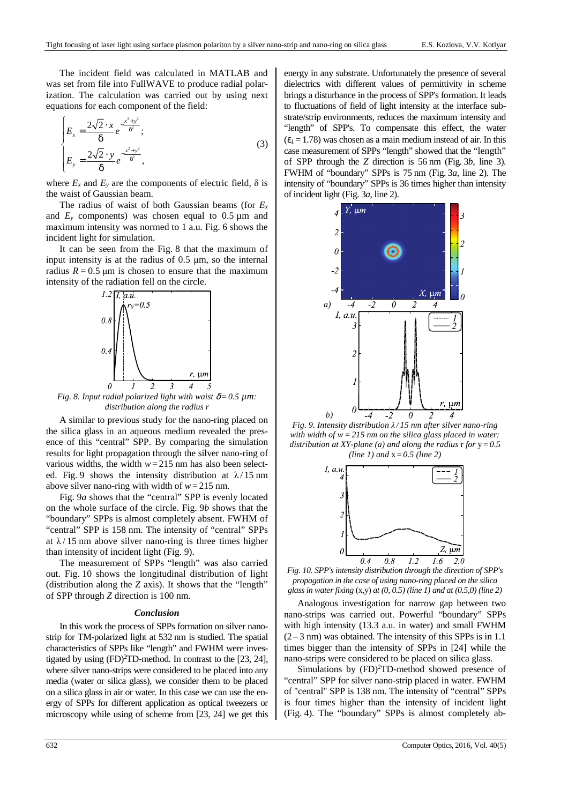The incident field was calculated in MATLAB and was set from file into FullWAVE to produce radial polarization. The calculation was carried out by using next equations for each component of the field:

$$
\begin{cases}\nE_x = \frac{2\sqrt{2} \cdot x}{\delta} e^{-\frac{x^2 + y^2}{\delta^2}}; \\
E_y = \frac{2\sqrt{2} \cdot y}{\delta} e^{-\frac{x^2 + y^2}{\delta^2}},\n\end{cases} (3)
$$

where  $E_x$  and  $E_y$  are the components of electric field,  $\delta$  is the waist of Gaussian beam.

The radius of waist of both Gaussian beams (for  $E<sub>x</sub>$ and  $E_y$  components) was chosen equal to 0.5  $\mu$ m and maximum intensity was normed to 1 a.u. Fig. 6 shows the incident light for simulation.

It can be seen from the Fig. 8 that the maximum of input intensity is at the radius of 0.5 µm, so the internal radius  $R = 0.5 \mu m$  is chosen to ensure that the maximum intensity of the radiation fell on the circle.



*Fig. 8. Input radial polarized light with waist*  $\delta = 0.5 \mu m$ *: distribution along the radius r* 

A similar to previous study for the nano-ring placed on the silica glass in an aqueous medium revealed the presence of this "central" SPP. By comparing the simulation results for light propagation through the silver nano-ring of various widths, the width  $w = 215$  nm has also been selected. Fig. 9 shows the intensity distribution at  $\lambda/15$  nm above silver nano-ring with width of  $w = 215$  nm.

Fig. 9*a* shows that the "central" SPP is evenly located on the whole surface of the circle. Fig. 9*b* shows that the "boundary" SPPs is almost completely absent. FWHM of "central" SPP is 158 nm. The intensity of "central" SPPs at  $\lambda/15$  nm above silver nano-ring is three times higher than intensity of incident light (Fig. 9).

The measurement of SPPs "length" was also carried out. Fig. 10 shows the longitudinal distribution of light (distribution along the *Z* axis). It shows that the "length" of SPP through *Z* direction is 100 nm.

#### *Conclusion*

In this work the process of SPPs formation on silver nanostrip for TM-polarized light at 532 nm is studied. The spatial characteristics of SPPs like "length" and FWHM were investigated by using  $(FD)^{2}TD$ -method. In contrast to the [23, 24], where silver nano-strips were considered to be placed into any media (water or silica glass), we consider them to be placed on a silica glass in air or water. In this case we can use the energy of SPPs for different application as optical tweezers or microscopy while using of scheme from [23, 24] we get this energy in any substrate. Unfortunately the presence of several dielectrics with different values of permittivity in scheme brings a disturbance in the process of SPP's formation. It leads to fluctuations of field of light intensity at the interface substrate/strip environments, reduces the maximum intensity and "length" of SPP's. To compensate this effect, the water  $(\epsilon_1 = 1.78)$  was chosen as a main medium instead of air. In this case measurement of SPPs "length" showed that the "length" of SPP through the *Z* direction is 56 nm (Fig. 3*b*, line 3). FWHM of "boundary" SPPs is 75 nm (Fig. 3*a*, line 2). The intensity of "boundary" SPPs is 36 times higher than intensity of incident light (Fig. 3*a*, line 2).



*Fig. 9. Intensity distribution λ / 15 nm after silver nano-ring with width of w=215 nm on the silica glass placed in water: distribution at XY-plane (a) and along the radius*  $r$  *for*  $y = 0.5$ *(line 1) and* x = *0.5 (line 2)* 



*Fig. 10. SPP's intensity distribution through the direction of SPP's propagation in the case of using nano-ring placed on the silica glass in water fixing* (x,y) *at (0, 0.5) (line 1) and at (0.5,0) (line 2)* 

Analogous investigation for narrow gap between two nano-strips was carried out. Powerful "boundary" SPPs with high intensity (13.3 a.u. in water) and small FWHM  $(2-3)$  nm) was obtained. The intensity of this SPPs is in 1.1 times bigger than the intensity of SPPs in [24] while the nano-strips were considered to be placed on silica glass.

Simulations by  $(FD)^{2}TD$ -method showed presence of "central" SPP for silver nano-strip placed in water. FWHM of "central" SPP is 138 nm. The intensity of "central" SPPs is four times higher than the intensity of incident light (Fig. 4). The "boundary" SPPs is almost completely ab-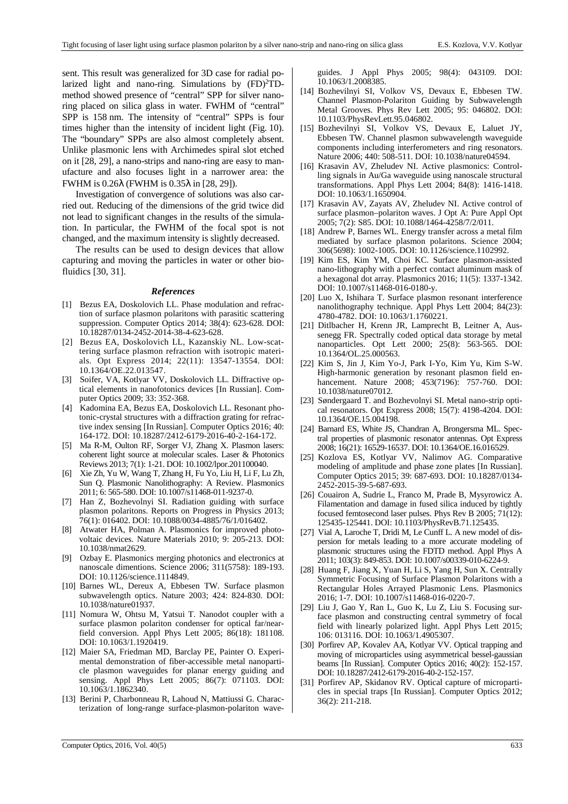sent. This result was generalized for 3D case for radial polarized light and nano-ring. Simulations by  $(FD)^{2}TD$ method showed presence of "central" SPP for silver nanoring placed on silica glass in water. FWHM of "central" SPP is 158 nm. The intensity of "central" SPPs is four times higher than the intensity of incident light (Fig. 10). The "boundary" SPPs are also almost completely absent. Unlike plasmonic lens with Archimedes spiral slot etched on it [28, 29], a nano-strips and nano-ring are easy to manufacture and also focuses light in a narrower area: the FWHM is 0.26λ (FWHM is 0.35λ in [28, 29]).

Investigation of convergence of solutions was also carried out. Reducing of the dimensions of the grid twice did not lead to significant changes in the results of the simulation. In particular, the FWHM of the focal spot is not changed, and the maximum intensity is slightly decreased.

The results can be used to design devices that allow capturing and moving the particles in water or other biofluidics [30, 31].

### *References*

- [1] Bezus EA, Doskolovich LL. Phase modulation and refraction of surface plasmon polaritons with parasitic scattering suppression. Computer Optics 2014; 38(4): 623-628. DOI: 10.18287/0134-2452-2014-38-4-623-628.
- [2] Bezus EA, Doskolovich LL, Kazanskiy NL. Low-scattering surface plasmon refraction with isotropic materials. Opt Express 2014; 22(11): 13547-13554. DOI: 10.1364/OE.22.013547.
- [3] Soifer, VA, Kotlyar VV, Doskolovich LL. Diffractive optical elements in nanofotonics devices [In Russian]. Computer Optics 2009; 33: 352-368.
- [4] Kadomina EA, Bezus EA, Doskolovich LL. Resonant photonic-crystal structures with a diffraction grating for refractive index sensing [In Russian]. Computer Optics 2016; 40: 164-172. DOI: 10.18287/2412-6179-2016-40-2-164-172.
- [5] Ma R-M, Oulton RF, Sorger VJ, Zhang X. Plasmon lasers: coherent light source at molecular scales. Laser & Photonics Reviews 2013; 7(1): 1-21. DOI: 10.1002/lpor.201100040.
- [6] Xie Zh, Yu W, Wang T, Zhang H, Fu Yo, Liu H, Li F, Lu Zh, Sun Q. Plasmonic Nanolithography: A Review. Plasmonics 2011; 6: 565-580. DOI: 10.1007/s11468-011-9237-0.
- [7] Han Z, Bozhevolnyi SI. Radiation guiding with surface plasmon polaritons. Reports on Progress in Physics 2013; 76(1): 016402. DOI: 10.1088/0034-4885/76/1/016402.
- [8] Atwater HA, Polman A. Plasmonics for improved photovoltaic devices. Nature Materials 2010; 9: 205-213. DOI: 10.1038/nmat2629.
- [9] Ozbay E. Plasmonics merging photonics and electronics at nanoscale dimentions. Science 2006; 311(5758): 189-193. DOI: 10.1126/science.1114849.
- [10] Barnes WL, Dereux A, Ebbesen TW. Surface plasmon subwavelength optics. Nature 2003; 424: 824-830. DOI: 10.1038/nature01937.
- [11] Nomura W, Ohtsu M, Yatsui T. Nanodot coupler with a surface plasmon polariton condenser for optical far/nearfield conversion. Appl Phys Lett 2005; 86(18): 181108. DOI: 10.1063/1.1920419.
- [12] Maier SA, Friedman MD, Barclay PE, Painter O. Experimental demonstration of fiber-accessible metal nanoparticle plasmon waveguides for planar energy guiding and sensing. Appl Phys Lett 2005; 86(7): 071103. DOI: 10.1063/1.1862340.
- [13] Berini P, Charbonneau R, Lahoud N, Mattiussi G. Characterization of long-range surface-plasmon-polariton wave-

guides. J Appl Phys 2005; 98(4): 043109. DOI: 10.1063/1.2008385.

- [14] Bozhevilnyi SI, Volkov VS, Devaux E, Ebbesen TW. Channel Plasmon-Polariton Guiding by Subwavelength Metal Grooves. Phys Rev Lett 2005; 95: 046802. DOI: 10.1103/PhysRevLett.95.046802.
- [15] Bozhevilnyi SI, Volkov VS, Devaux E, Laluet JY, Ebbesen TW. Channel plasmon subwavelength waveguide components including interferometers and ring resonators. Nature 2006; 440: 508-511. DOI: 10.1038/nature04594.
- [16] Krasavin AV, Zheludev NI. Active plasmonics: Controlling signals in Au/Ga waveguide using nanoscale structural transformations. Appl Phys Lett 2004; 84(8): 1416-1418. DOI: 10.1063/1.1650904.
- [17] Krasavin AV, Zayats AV, Zheludev NI. Active control of surface plasmon–polariton waves. J Opt A: Pure Appl Opt 2005; 7(2): S85. DOI: 10.1088/1464-4258/7/2/011.
- [18] Andrew P, Barnes WL. Energy transfer across a metal film mediated by surface plasmon polaritons. Science 2004; 306(5698): 1002-1005. DOI: 10.1126/science.1102992.
- [19] Kim ES, Kim YM, Choi KC. Surface plasmon-assisted nano-lithography with a perfect contact aluminum mask of a hexagonal dot array. Plasmonics 2016; 11(5): 1337-1342. DOI: 10.1007/s11468-016-0180-y.
- [20] Luo X, Ishihara T. Surface plasmon resonant interference nanolithography technique. Appl Phys Lett 2004; 84(23): 4780-4782. DOI: 10.1063/1.1760221.
- [21] Ditlbacher H, Krenn JR, Lamprecht B, Leitner A, Aussenegg FR. Spectrally coded optical data storage by metal nanoparticles. Opt Lett 2000; 25(8): 563-565. DOI: 10.1364/OL.25.000563.
- [22] Kim S, Jin J, Kim Yo-J, Park I-Yo, Kim Yu, Kim S-W. High-harmonic generation by resonant plasmon field enhancement. Nature 2008; 453(7196): 757-760. DOI: 10.1038/nature07012.
- [23] Søndergaard T. and Bozhevolnyi SI. Metal nano-strip optical resonators. Opt Express 2008; 15(7): 4198-4204. DOI: 10.1364/OE.15.004198.
- [24] Barnard ES, White JS, Chandran A, Brongersma ML. Spectral properties of plasmonic resonator antennas. Opt Express 2008; 16(21): 16529-16537. DOI: 10.1364/OE.16.016529.
- [25] Kozlova ES, Kotlyar VV, Nalimov AG. Comparative modeling of amplitude and phase zone plates [In Russian]. Computer Optics 2015; 39: 687-693. DOI: 10.18287/0134- 2452-2015-39-5-687-693.
- [26] Couairon A, Sudrie L, Franco M, Prade B, Mysyrowicz A. Filamentation and damage in fused silica induced by tightly focused femtosecond laser pulses. Phys Rev B 2005; 71(12): 125435-125441. DOI: 10.1103/PhysRevB.71.125435.
- [27] Vial A, Laroche T, Dridi M, Le Cunff L. A new model of dispersion for metals leading to a more accurate modeling of plasmonic structures using the FDTD method. Appl Phys A 2011; 103(3): 849-853. DOI: 10.1007/s00339-010-6224-9.
- [28] Huang F, Jiang X, Yuan H, Li S, Yang H, Sun X. Centrally Symmetric Focusing of Surface Plasmon Polaritons with a Rectangular Holes Arrayed Plasmonic Lens. Plasmonics 2016; 1-7. DOI: 10.1007/s11468-016-0220-7.
- [29] Liu J, Gao Y, Ran L, Guo K, Lu Z, Liu S. Focusing surface plasmon and constructing central symmetry of focal field with linearly polarized light. Appl Phys Lett 2015; 106: 013116. DOI: 10.1063/1.4905307.
- [30] Porfirev AP, Kovalev AA, Kotlyar VV. Optical trapping and moving of microparticles using asymmetrical bessel-gaussian beams [In Russian]. Computer Optics 2016; 40(2): 152-157. DOI: 10.18287/2412-6179-2016-40-2-152-157.
- [31] Porfirev AP, Skidanov RV. Optical capture of microparticles in special traps [In Russian]. Computer Optics 2012; 36(2): 211-218.